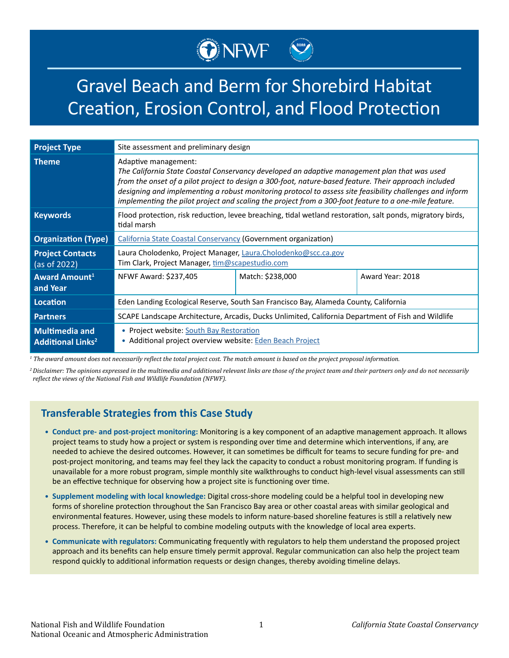# Gravel Beach and Berm for Shorebird Habitat Creation, Erosion Control, and Flood Protection

ONEWE COME

| <b>Project Type</b>                                          | Site assessment and preliminary design                                                                                                                                                                                                                                                                                                                                                                                                             |                  |                  |
|--------------------------------------------------------------|----------------------------------------------------------------------------------------------------------------------------------------------------------------------------------------------------------------------------------------------------------------------------------------------------------------------------------------------------------------------------------------------------------------------------------------------------|------------------|------------------|
| <b>Theme</b>                                                 | Adaptive management:<br>The California State Coastal Conservancy developed an adaptive management plan that was used<br>from the onset of a pilot project to design a 300-foot, nature-based feature. Their approach included<br>designing and implementing a robust monitoring protocol to assess site feasibility challenges and inform<br>implementing the pilot project and scaling the project from a 300-foot feature to a one-mile feature. |                  |                  |
| <b>Keywords</b>                                              | Flood protection, risk reduction, levee breaching, tidal wetland restoration, salt ponds, migratory birds,<br>tidal marsh                                                                                                                                                                                                                                                                                                                          |                  |                  |
| <b>Organization (Type)</b>                                   | <b>California State Coastal Conservancy (Government organization)</b>                                                                                                                                                                                                                                                                                                                                                                              |                  |                  |
| <b>Project Contacts</b><br>(as of 2022)                      | Laura Cholodenko, Project Manager, Laura.Cholodenko@scc.ca.gov<br>Tim Clark, Project Manager, tim@scapestudio.com                                                                                                                                                                                                                                                                                                                                  |                  |                  |
| Award Amount <sup>1</sup><br>and Year                        | NFWF Award: \$237,405                                                                                                                                                                                                                                                                                                                                                                                                                              | Match: \$238,000 | Award Year: 2018 |
| Location                                                     | Eden Landing Ecological Reserve, South San Francisco Bay, Alameda County, California                                                                                                                                                                                                                                                                                                                                                               |                  |                  |
| <b>Partners</b>                                              | SCAPE Landscape Architecture, Arcadis, Ducks Unlimited, California Department of Fish and Wildlife                                                                                                                                                                                                                                                                                                                                                 |                  |                  |
| <b>Multimedia and</b><br><b>Additional Links<sup>2</sup></b> | • Project website: South Bay Restoration<br>• Additional project overview website: Eden Beach Project                                                                                                                                                                                                                                                                                                                                              |                  |                  |

*1 The award amount does not necessarily reflect the total project cost. The match amount is based on the project proposal information.*

*<sup>2</sup>Disclaimer: The opinions expressed in the multimedia and additional relevant links are those of the project team and their partners only and do not necessarily reflect the views of the National Fish and Wildlife Foundation (NFWF).*

#### **Transferable Strategies from this Case Study**

- **• Conduct pre- and post-project monitoring:** Monitoring is a key component of an adaptive management approach. It allows project teams to study how a project or system is responding over time and determine which interventions, if any, are needed to achieve the desired outcomes. However, it can sometimes be difficult for teams to secure funding for pre- and post-project monitoring, and teams may feel they lack the capacity to conduct a robust monitoring program. If funding is unavailable for a more robust program, simple monthly site walkthroughs to conduct high-level visual assessments can still be an effective technique for observing how a project site is functioning over time.
- **• Supplement modeling with local knowledge:** Digital cross-shore modeling could be a helpful tool in developing new forms of shoreline protection throughout the San Francisco Bay area or other coastal areas with similar geological and environmental features. However, using these models to inform nature-based shoreline features is still a relatively new process. Therefore, it can be helpful to combine modeling outputs with the knowledge of local area experts.
- **• Communicate with regulators:** Communicating frequently with regulators to help them understand the proposed project approach and its benefits can help ensure timely permit approval. Regular communication can also help the project team respond quickly to additional information requests or design changes, thereby avoiding timeline delays.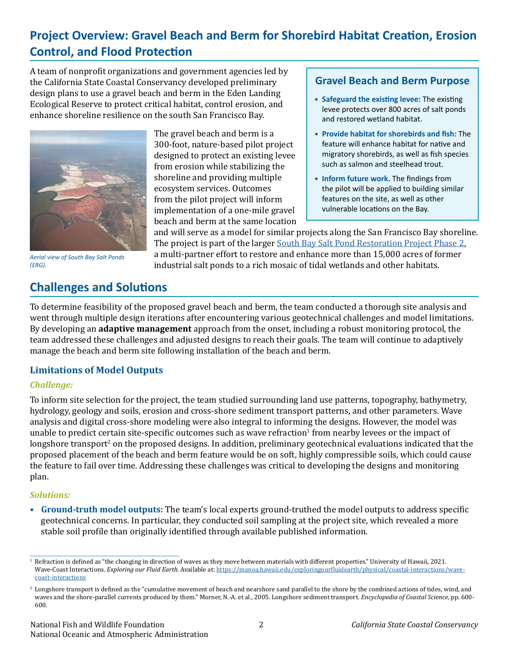## **Project Overview: Gravel Beach and Berm for Shorebird Habitat Creation, Erosion Control, and Flood Protection**

A team of nonprofit organizations and government agencies led by the California State Coastal Conservancy developed preliminary design plans to use a gravel beach and berm in the Eden Landing Ecological Reserve to protect critical habitat, control erosion, and enhance shoreline resilience on the south San Francisco Bay.



*Aerial view of South Bay Salt Ponds (ERG).*

## **Challenges and Solutions**

The gravel beach and berm is a 300-foot, nature-based pilot project designed to protect an existing levee from erosion while stabilizing the shoreline and providing multiple ecosystem services. Outcomes from the pilot project will inform implementation of a one-mile gravel beach and berm at the same location

#### **Gravel Beach and Berm Purpose**

- **• Safeguard the existing levee:** The existing levee protects over 800 acres of salt ponds and restored wetland habitat.
- **• Provide habitat for shorebirds and fish:** The feature will enhance habitat for native and migratory shorebirds, as well as fish species such as salmon and steelhead trout.
- **• Inform future work.** The findings from the pilot will be applied to building similar features on the site, as well as other vulnerable locations on the Bay.

and will serve as a model for similar projects along the San Francisco Bay shoreline. The project is part of the larger [South Bay Salt Pond Restoration Project Phase 2,](https://www.southbayrestoration.org/) a multi-partner effort to restore and enhance more than 15,000 acres of former industrial salt ponds to a rich mosaic of tidal wetlands and other habitats.

To determine feasibility of the proposed gravel beach and berm, the team conducted a thorough site analysis and went through multiple design iterations after encountering various geotechnical challenges and model limitations. By developing an **adaptive management** approach from the onset, including a robust monitoring protocol, the team addressed these challenges and adjusted designs to reach their goals. The team will continue to adaptively manage the beach and berm site following installation of the beach and berm.

#### **Limitations of Model Outputs**

#### *Challenge:*

To inform site selection for the project, the team studied surrounding land use patterns, topography, bathymetry, hydrology, geology and soils, erosion and cross-shore sediment transport patterns, and other parameters. Wave analysis and digital cross-shore modeling were also integral to informing the designs. However, the model was unable to predict certain site-specific outcomes such as wave refraction $^1$  from nearby levees or the impact of longshore transport<sup>2</sup> on the proposed designs. In addition, preliminary geotechnical evaluations indicated that the proposed placement of the beach and berm feature would be on soft, highly compressible soils, which could cause the feature to fail over time. Addressing these challenges was critical to developing the designs and monitoring plan.

#### *Solutions:*

**• Ground-truth model outputs:** The team's local experts ground-truthed the model outputs to address specific geotechnical concerns. In particular, they conducted soil sampling at the project site, which revealed a more stable soil profile than originally identified through available published information.

<sup>&</sup>lt;sup>1</sup> Refraction is defined as "the changing in direction of waves as they move between materials with different properties." University of Hawaii, 2021. Wave-Coast Interactions. *Exploring our Fluid Earth*. Available at: [https://manoa.hawaii.edu/exploringourfluidearth/physical/coastal-interactions/wave](https://manoa.hawaii.edu/exploringourfluidearth/physical/coastal-interactions/wave-coast-interactions)[coast-interactions](https://manoa.hawaii.edu/exploringourfluidearth/physical/coastal-interactions/wave-coast-interactions)

 $^2$  Longshore transport is defined as the "cumulative movement of beach and nearshore sand parallel to the shore by the combined actions of tides, wind, and waves and the shore-parallel currents produced by them." Morner, N.-A. et al., 2005. Longshore sediment transport. *Encyclopedia of Coastal Science*, pp. 600- 600.